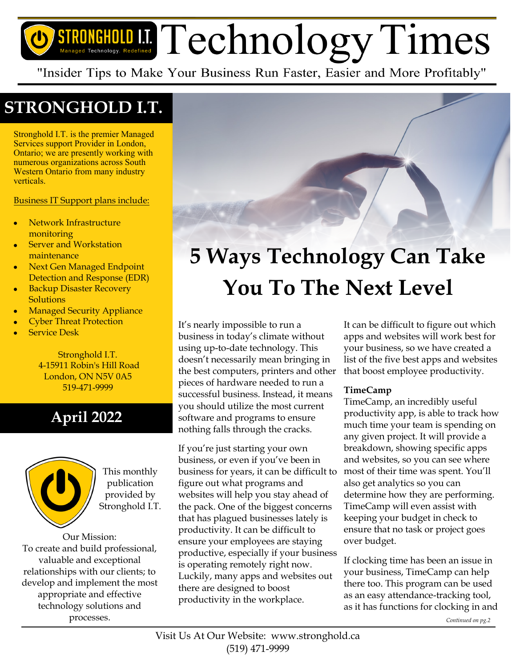# STRONGHOLD I.I. Technology. Redefined Technology. Redefined

"Insider Tips to Make Your Business Run Faster, Easier and More Profitably"

## **STRONGHOLD I.T.**

Stronghold I.T. is the premier Managed Services support Provider in London, Ontario; we are presently working with numerous organizations across South Western Ontario from many industry verticals.

Business IT Support plans include:

- Network Infrastructure monitoring
- Server and Workstation maintenance
- Next Gen Managed Endpoint Detection and Response (EDR)
- Backup Disaster Recovery **Solutions**
- Managed Security Appliance
- Cyber Threat Protection
- Service Desk

Stronghold I.T. 4-15911 Robin's Hill Road London, ON N5V 0A5 519-471-9999

### **April 2022**



This monthly publication provided by Stronghold I.T.

Our Mission: To create and build professional, valuable and exceptional relationships with our clients; to develop and implement the most appropriate and effective technology solutions and processes.

# **5 Ways Technology Can Take You To The Next Level**

#### It's nearly impossible to run a business in today's climate without using up-to-date technology. This doesn't necessarily mean bringing in the best computers, printers and other pieces of hardware needed to run a successful business. Instead, it means you should utilize the most current software and programs to ensure nothing falls through the cracks.

If you're just starting your own business, or even if you've been in business for years, it can be difficult to figure out what programs and websites will help you stay ahead of the pack. One of the biggest concerns that has plagued businesses lately is productivity. It can be difficult to ensure your employees are staying productive, especially if your business is operating remotely right now. Luckily, many apps and websites out there are designed to boost productivity in the workplace.

It can be difficult to figure out which apps and websites will work best for your business, so we have created a list of the five best apps and websites that boost employee productivity.

#### **TimeCamp**

TimeCamp, an incredibly useful productivity app, is able to track how much time your team is spending on any given project. It will provide a breakdown, showing specific apps and websites, so you can see where most of their time was spent. You'll also get analytics so you can determine how they are performing. TimeCamp will even assist with keeping your budget in check to ensure that no task or project goes over budget.

If clocking time has been an issue in your business, TimeCamp can help there too. This program can be used as an easy attendance-tracking tool, as it has functions for clocking in and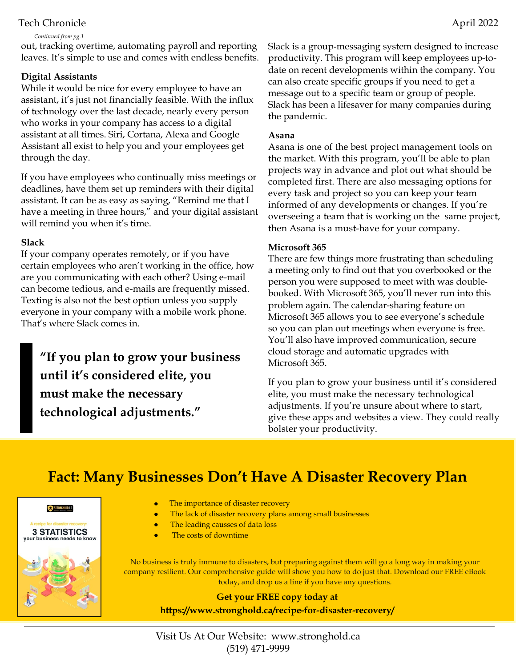#### Tech Chronicle April 2022

#### *Continued from pg.1*

out, tracking overtime, automating payroll and reporting leaves. It's simple to use and comes with endless benefits.

#### **Digital Assistants**

While it would be nice for every employee to have an assistant, it's just not financially feasible. With the influx of technology over the last decade, nearly every person who works in your company has access to a digital assistant at all times. Siri, Cortana, Alexa and Google Assistant all exist to help you and your employees get through the day.

If you have employees who continually miss meetings or deadlines, have them set up reminders with their digital assistant. It can be as easy as saying, "Remind me that I have a meeting in three hours," and your digital assistant will remind you when it's time.

#### **Slack**

If your company operates remotely, or if you have certain employees who aren't working in the office, how are you communicating with each other? Using e-mail can become tedious, and e-mails are frequently missed. Texting is also not the best option unless you supply everyone in your company with a mobile work phone. That's where Slack comes in.

**"If you plan to grow your business until it's considered elite, you must make the necessary technological adjustments."** 

Slack is a group-messaging system designed to increase productivity. This program will keep employees up-todate on recent developments within the company. You can also create specific groups if you need to get a message out to a specific team or group of people. Slack has been a lifesaver for many companies during the pandemic.

#### **Asana**

Asana is one of the best project management tools on the market. With this program, you'll be able to plan projects way in advance and plot out what should be completed first. There are also messaging options for every task and project so you can keep your team informed of any developments or changes. If you're overseeing a team that is working on the same project, then Asana is a must-have for your company.

#### **Microsoft 365**

There are few things more frustrating than scheduling a meeting only to find out that you overbooked or the person you were supposed to meet with was doublebooked. With Microsoft 365, you'll never run into this problem again. The calendar-sharing feature on Microsoft 365 allows you to see everyone's schedule so you can plan out meetings when everyone is free. You'll also have improved communication, secure cloud storage and automatic upgrades with Microsoft 365.

If you plan to grow your business until it's considered elite, you must make the necessary technological adjustments. If you're unsure about where to start, give these apps and websites a view. They could really bolster your productivity.

### **Fact: Many Businesses Don't Have A Disaster Recovery Plan**



- $\bullet$ The importance of disaster recovery
- The lack of disaster recovery plans among small businesses
	- The leading causses of data loss
- The costs of downtime

No business is truly immune to disasters, but preparing against them will go a long way in making your company resilient. Our comprehensive guide will show you how to do just that. Download our FREE eBook today, and drop us a line if you have any questions.

#### **Get your FREE copy today at https://www.stronghold.ca/recipe-for-disaster-recovery/**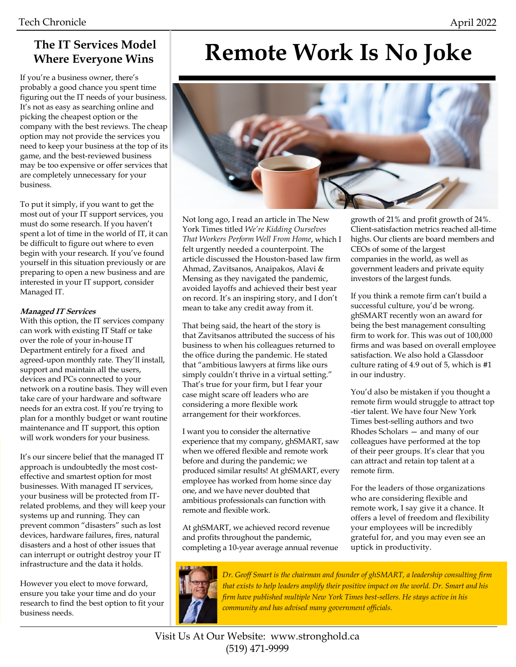#### **The IT Services Model Where Everyone Wins**

If you're a business owner, there's probably a good chance you spent time figuring out the IT needs of your business. It's not as easy as searching online and picking the cheapest option or the company with the best reviews. The cheap option may not provide the services you need to keep your business at the top of its game, and the best-reviewed business may be too expensive or offer services that are completely unnecessary for your business.

To put it simply, if you want to get the most out of your IT support services, you must do some research. If you haven't spent a lot of time in the world of IT, it can be difficult to figure out where to even begin with your research. If you've found yourself in this situation previously or are preparing to open a new business and are interested in your IT support, consider Managed IT.

#### **Managed IT Services**

With this option, the IT services company can work with existing IT Staff or take over the role of your in-house IT Department entirely for a fixed and agreed-upon monthly rate. They'll install, support and maintain all the users, devices and PCs connected to your network on a routine basis. They will even take care of your hardware and software needs for an extra cost. If you're trying to plan for a monthly budget or want routine maintenance and IT support, this option will work wonders for your business.

It's our sincere belief that the managed IT approach is undoubtedly the most costeffective and smartest option for most businesses. With managed IT services, your business will be protected from ITrelated problems, and they will keep your systems up and running. They can prevent common "disasters" such as lost devices, hardware failures, fires, natural disasters and a host of other issues that can interrupt or outright destroy your IT infrastructure and the data it holds.

However you elect to move forward, ensure you take your time and do your research to find the best option to fit your business needs.

# **Remote Work Is No Joke**



Not long ago, I read an article in The New York Times titled *We're Kidding Ourselves That Workers Perform Well From Home*, which I felt urgently needed a counterpoint. The article discussed the Houston-based law firm Ahmad, Zavitsanos, Anaipakos, Alavi & Mensing as they navigated the pandemic, avoided layoffs and achieved their best year on record. It's an inspiring story, and I don't mean to take any credit away from it.

That being said, the heart of the story is that Zavitsanos attributed the success of his business to when his colleagues returned to the office during the pandemic. He stated that "ambitious lawyers at firms like ours simply couldn't thrive in a virtual setting." That's true for your firm, but I fear your case might scare off leaders who are considering a more flexible work arrangement for their workforces.

I want you to consider the alternative experience that my company, ghSMART, saw when we offered flexible and remote work before and during the pandemic; we produced similar results! At ghSMART, every employee has worked from home since day one, and we have never doubted that ambitious professionals can function with remote and flexible work.

At ghSMART, we achieved record revenue and profits throughout the pandemic, completing a 10-year average annual revenue

growth of 21% and profit growth of 24%. Client-satisfaction metrics reached all-time highs. Our clients are board members and CEOs of some of the largest companies in the world, as well as government leaders and private equity investors of the largest funds.

If you think a remote firm can't build a successful culture, you'd be wrong. ghSMART recently won an award for being the best management consulting firm to work for. This was out of 100,000 firms and was based on overall employee satisfaction. We also hold a Glassdoor culture rating of 4.9 out of 5, which is #1 in our industry.

You'd also be mistaken if you thought a remote firm would struggle to attract top -tier talent. We have four New York Times best-selling authors and two Rhodes Scholars — and many of our colleagues have performed at the top of their peer groups. It's clear that you can attract and retain top talent at a remote firm.

For the leaders of those organizations who are considering flexible and remote work, I say give it a chance. It offers a level of freedom and flexibility your employees will be incredibly grateful for, and you may even see an uptick in productivity.



*Dr. Geoff Smart is the chairman and founder of ghSMART, a leadership consulting firm that exists to help leaders amplify their positive impact on the world. Dr. Smart and his firm have published multiple New York Times best-sellers. He stays active in his community and has advised many government officials.*